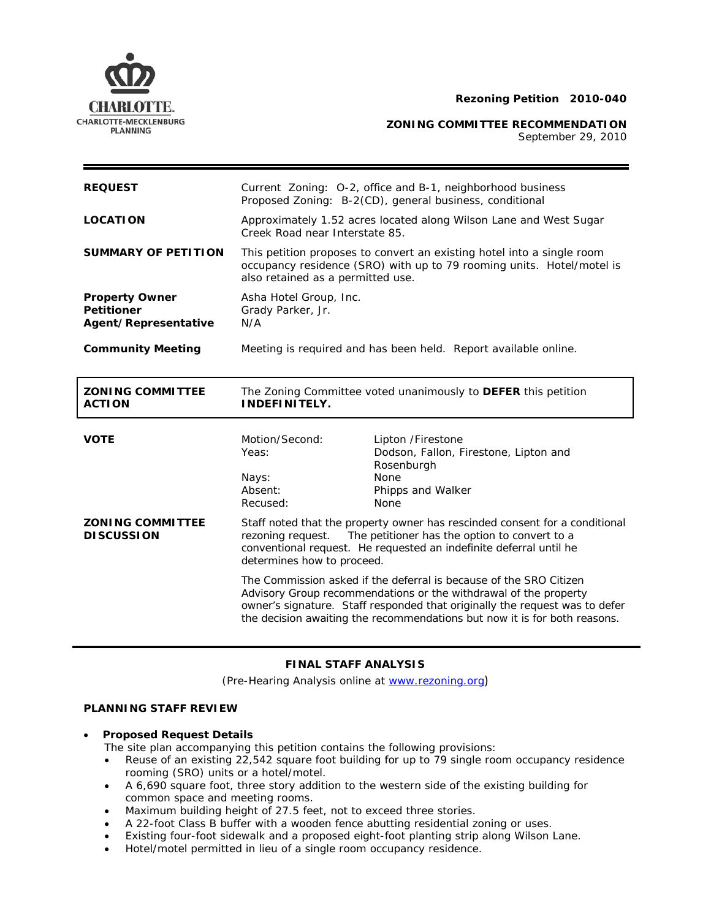

**ZONING COMMITTEE RECOMMENDATION**

September 29, 2010

| <b>REQUEST</b>                                                     |                                                                                                                                                                                      | Current Zoning: O-2, office and B-1, neighborhood business<br>Proposed Zoning: B-2(CD), general business, conditional                                                                                                                                                                                               |
|--------------------------------------------------------------------|--------------------------------------------------------------------------------------------------------------------------------------------------------------------------------------|---------------------------------------------------------------------------------------------------------------------------------------------------------------------------------------------------------------------------------------------------------------------------------------------------------------------|
| <b>LOCATION</b>                                                    | Approximately 1.52 acres located along Wilson Lane and West Sugar<br>Creek Road near Interstate 85.                                                                                  |                                                                                                                                                                                                                                                                                                                     |
| <b>SUMMARY OF PETITION</b>                                         | This petition proposes to convert an existing hotel into a single room<br>occupancy residence (SRO) with up to 79 rooming units. Hotel/motel is<br>also retained as a permitted use. |                                                                                                                                                                                                                                                                                                                     |
| <b>Property Owner</b><br><b>Petitioner</b><br>Agent/Representative | Asha Hotel Group, Inc.<br>Grady Parker, Jr.<br>N/A                                                                                                                                   |                                                                                                                                                                                                                                                                                                                     |
| <b>Community Meeting</b>                                           | Meeting is required and has been held. Report available online.                                                                                                                      |                                                                                                                                                                                                                                                                                                                     |
| <b>ZONING COMMITTEE</b><br><b>ACTION</b>                           | The Zoning Committee voted unanimously to DEFER this petition<br><b>INDEFINITELY.</b>                                                                                                |                                                                                                                                                                                                                                                                                                                     |
|                                                                    |                                                                                                                                                                                      |                                                                                                                                                                                                                                                                                                                     |
| <b>VOTE</b><br><b>ZONING COMMITTEE</b><br><b>DISCUSSION</b>        | Motion/Second:<br>Yeas:<br>Nays:<br>Absent:<br>Recused:<br>rezoning request.<br>determines how to proceed.                                                                           | Lipton /Firestone<br>Dodson, Fallon, Firestone, Lipton and<br>Rosenburgh<br>None<br>Phipps and Walker<br>None<br>Staff noted that the property owner has rescinded consent for a conditional<br>The petitioner has the option to convert to a<br>conventional request. He requested an indefinite deferral until he |

# **FINAL STAFF ANALYSIS**

(Pre-Hearing Analysis online at [www.rezoning.org](http://www.rezoning.org/))

# **PLANNING STAFF REVIEW**

• **Proposed Request Details**

The site plan accompanying this petition contains the following provisions:

- Reuse of an existing 22,542 square foot building for up to 79 single room occupancy residence rooming (SRO) units or a hotel/motel.
- A 6,690 square foot, three story addition to the western side of the existing building for common space and meeting rooms.
- Maximum building height of 27.5 feet, not to exceed three stories.
- A 22-foot Class B buffer with a wooden fence abutting residential zoning or uses.
- Existing four-foot sidewalk and a proposed eight-foot planting strip along Wilson Lane.
- Hotel/motel permitted in lieu of a single room occupancy residence.